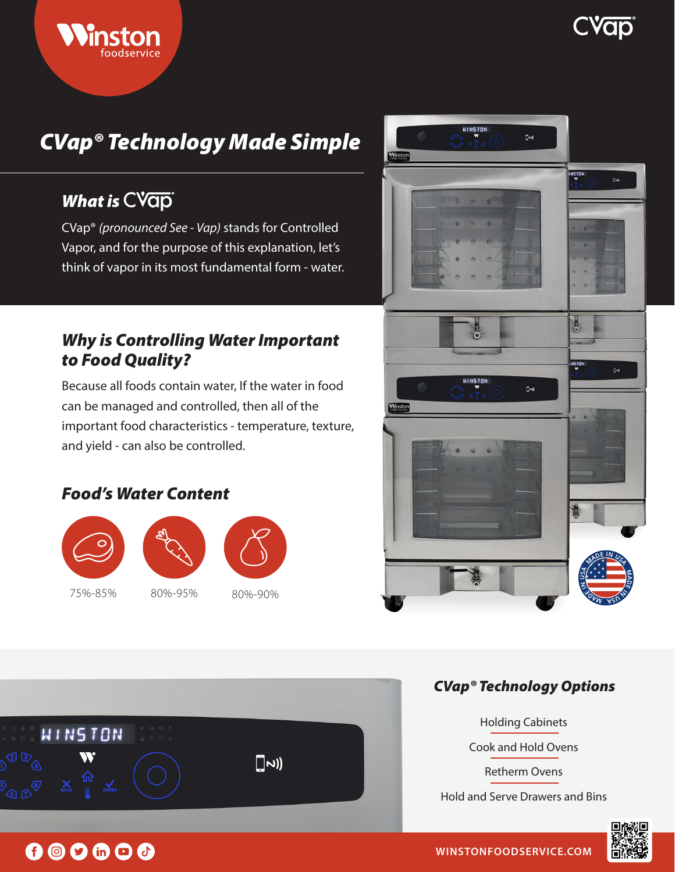# **EVOID**

# *CVap® Technology Made Simple*

# *What is*

CVap® *(pronounced See - Vap)* stands for Controlled Vapor, and for the purpose of this explanation, let's think of vapor in its most fundamental form - water.

### *Why is Controlling Water Important to Food Quality?*

Because all foods contain water, If the water in food can be managed and controlled, then all of the important food characteristics - temperature, texture, and yield - can also be controlled.

### *Food's Water Content*





75%-85% 80%-95% 80%-90%



### *CVap® Technology Options*



Holding Cabinets Cook and Hold Ovens Retherm Ovens Hold and Serve Drawers and Bins



# $0$   $0$   $0$   $0$   $0$   $0$